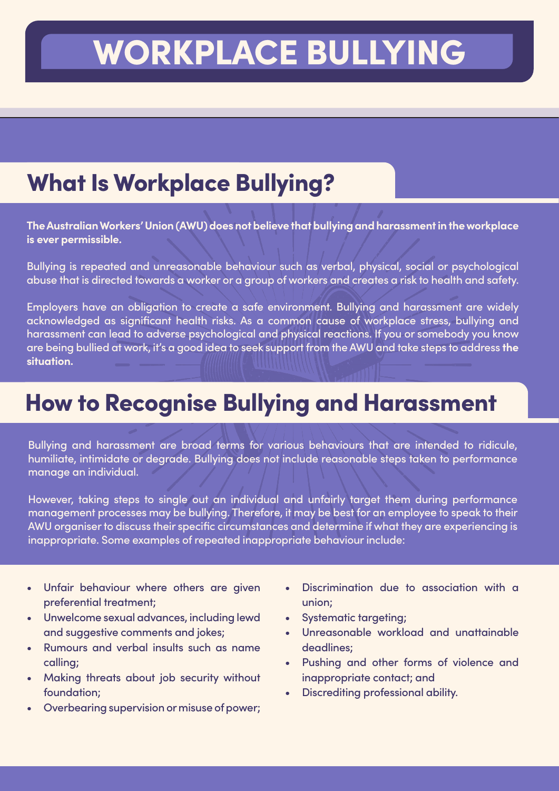# WORKPLACE BULLYING

# **What Is Workplace Bullying?**

**The Australian Workers' Union (AWU) does not believe that bullying and harassment in the workplace is ever permissible.**

Bullying is repeated and unreasonable behaviour such as verbal, physical, social or psychological abuse that is directed towards a worker or a group of workers and creates a risk to health and safety.

Employers have an obligation to create a safe environment. Bullying and harassment are widely acknowledged as significant health risks. As a common cause of workplace stress, bullying and harassment can lead to adverse psychological and physical reactions. If you or somebody you know are being bullied at work, it's a good idea to seek support from the AWU and take steps to address **the situation.**

#### How to Recognise Bullying and Harassment

Bullying and harassment are broad terms for various behaviours that are intended to ridicule, humiliate, intimidate or degrade. Bullying does not include reasonable steps taken to performance manage an individual.

However, taking steps to single out an individual and unfairly target them during performance management processes may be bullying. Therefore, it may be best for an employee to speak to their AWU organiser to discuss their specific circumstances and determine if what they are experiencing is inappropriate. Some examples of repeated inappropriate behaviour include:

- Unfair behaviour where others are given preferential treatment;
- Unwelcome sexual advances, including lewd and suggestive comments and jokes;
- Rumours and verbal insults such as name calling;
- Making threats about job security without foundation;
- Overbearing supervision or misuse of power;
- Discrimination due to association with a union;
- Systematic targeting;
- Unreasonable workload and unattainable deadlines;
- Pushing and other forms of violence and inappropriate contact; and
- Discrediting professional ability.